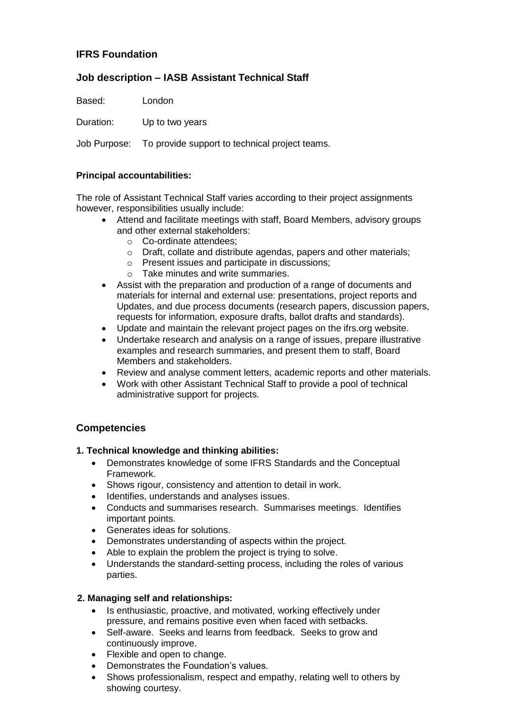## **IFRS Foundation**

# **Job description – IASB Assistant Technical Staff**

Based: London

Duration: Up to two years

Job Purpose: To provide support to technical project teams.

### **Principal accountabilities:**

The role of Assistant Technical Staff varies according to their project assignments however, responsibilities usually include:

- Attend and facilitate meetings with staff, Board Members, advisory groups and other external stakeholders:
	- o Co-ordinate attendees;
	- o Draft, collate and distribute agendas, papers and other materials;
	- o Present issues and participate in discussions;
	- o Take minutes and write summaries.
- Assist with the preparation and production of a range of documents and materials for internal and external use: presentations, project reports and Updates, and due process documents (research papers, discussion papers, requests for information, exposure drafts, ballot drafts and standards).
- Update and maintain the relevant project pages on the ifrs.org website.
- Undertake research and analysis on a range of issues, prepare illustrative examples and research summaries, and present them to staff, Board Members and stakeholders.
- Review and analyse comment letters, academic reports and other materials.
- Work with other Assistant Technical Staff to provide a pool of technical administrative support for projects.

# **Competencies**

### **1. Technical knowledge and thinking abilities:**

- Demonstrates knowledge of some IFRS Standards and the Conceptual Framework.
- Shows rigour, consistency and attention to detail in work.
- Identifies, understands and analyses issues.
- Conducts and summarises research. Summarises meetings. Identifies important points.
- Generates ideas for solutions.
- Demonstrates understanding of aspects within the project.
- Able to explain the problem the project is trying to solve.
- Understands the standard-setting process, including the roles of various parties.

### **2. Managing self and relationships:**

- Is enthusiastic, proactive, and motivated, working effectively under pressure, and remains positive even when faced with setbacks.
- Self-aware. Seeks and learns from feedback. Seeks to grow and continuously improve.
- Flexible and open to change.
- Demonstrates the Foundation's values.
- Shows professionalism, respect and empathy, relating well to others by showing courtesy.